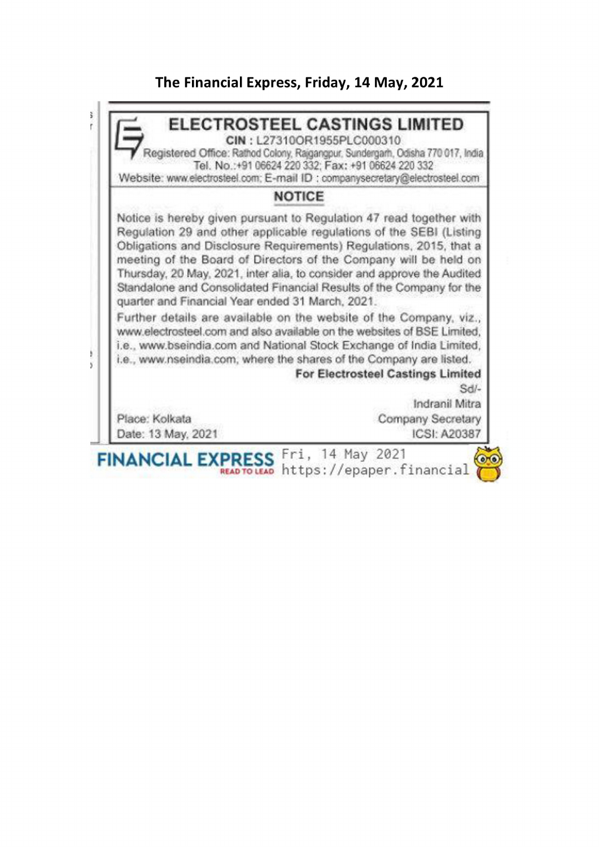## The Financial Express, Friday, 14 May, 2021